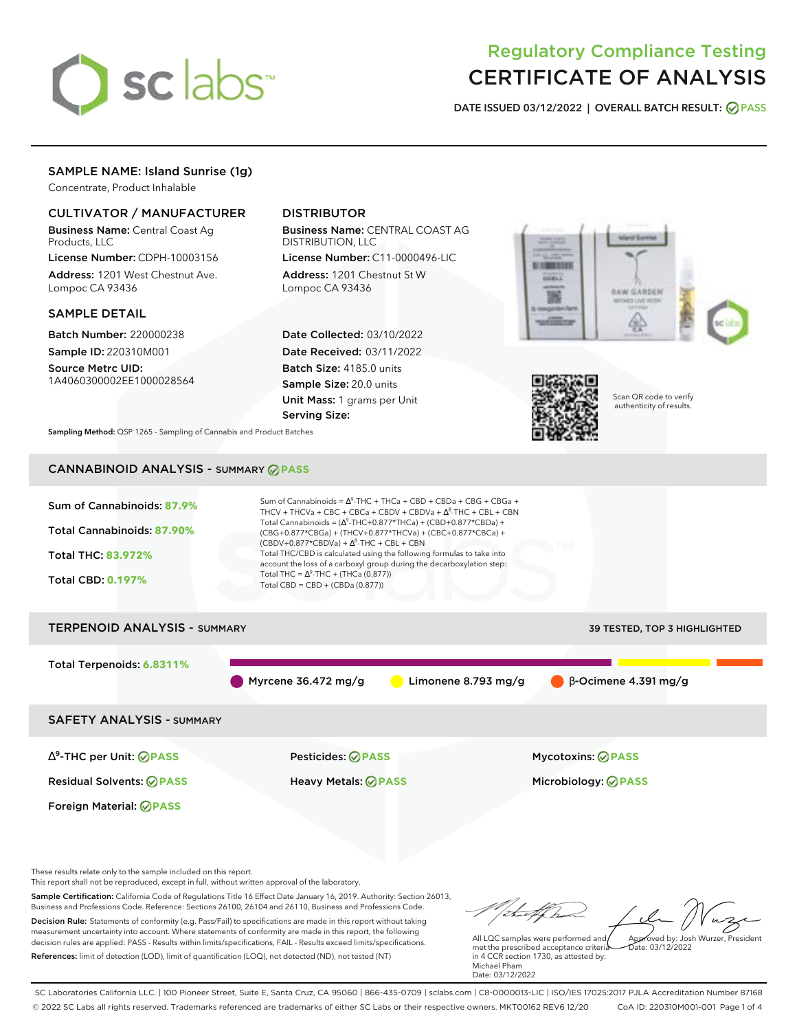

# Regulatory Compliance Testing CERTIFICATE OF ANALYSIS

**DATE ISSUED 03/12/2022 | OVERALL BATCH RESULT: PASS**

## SAMPLE NAME: Island Sunrise (1g)

Concentrate, Product Inhalable

### CULTIVATOR / MANUFACTURER

Business Name: Central Coast Ag Products, LLC

License Number: CDPH-10003156 Address: 1201 West Chestnut Ave. Lompoc CA 93436

#### SAMPLE DETAIL

Batch Number: 220000238 Sample ID: 220310M001

Source Metrc UID: 1A4060300002EE1000028564

# DISTRIBUTOR

Business Name: CENTRAL COAST AG DISTRIBUTION, LLC

License Number: C11-0000496-LIC Address: 1201 Chestnut St W Lompoc CA 93436

Date Collected: 03/10/2022 Date Received: 03/11/2022 Batch Size: 4185.0 units Sample Size: 20.0 units Unit Mass: 1 grams per Unit Serving Size:





Scan QR code to verify authenticity of results.

**Sampling Method:** QSP 1265 - Sampling of Cannabis and Product Batches

# CANNABINOID ANALYSIS - SUMMARY **PASS**



Sample Certification: California Code of Regulations Title 16 Effect Date January 16, 2019. Authority: Section 26013, Business and Professions Code. Reference: Sections 26100, 26104 and 26110, Business and Professions Code. Decision Rule: Statements of conformity (e.g. Pass/Fail) to specifications are made in this report without taking measurement uncertainty into account. Where statements of conformity are made in this report, the following decision rules are applied: PASS - Results within limits/specifications, FAIL - Results exceed limits/specifications. References: limit of detection (LOD), limit of quantification (LOQ), not detected (ND), not tested (NT)

All LQC samples were performed and met the prescribed acceptance criteria Approved by: Josh Wurzer, President Date: 03/12/2022

in 4 CCR section 1730, as attested by: Michael Pham Date: 03/12/2022

SC Laboratories California LLC. | 100 Pioneer Street, Suite E, Santa Cruz, CA 95060 | 866-435-0709 | sclabs.com | C8-0000013-LIC | ISO/IES 17025:2017 PJLA Accreditation Number 87168 © 2022 SC Labs all rights reserved. Trademarks referenced are trademarks of either SC Labs or their respective owners. MKT00162 REV6 12/20 CoA ID: 220310M001-001 Page 1 of 4